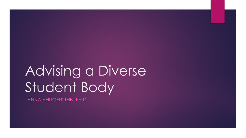# Advising a Diverse Student Body

JANNA HEILIGENSTEIN, PH.D.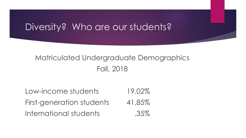## Diversity? Who are our students?

### Matriculated Undergraduate Demographics Fall, 2018

Low-income students 19.02% First-generation students 41.85% International students .35%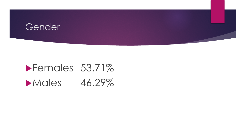#### Gender

# Females 53.71% Males 46.29%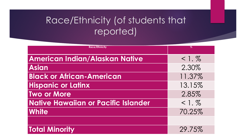## Race/Ethnicity (of students that reported)

| <b>Race/Ethnicity</b>                 | $\%$      |
|---------------------------------------|-----------|
| <b>American Indian/Alaskan Native</b> | $< 1. \%$ |
| <b>Asian</b>                          | 2.30%     |
| <b>Black or African-American</b>      | 11.37%    |
| <b>Hispanic or Latinx</b>             | 13.15%    |
| <b>Two or More</b>                    | 2.85%     |
| Native Hawaiian or Pacific Islander   | $< 1. \%$ |
| <b>White</b>                          | 70.25%    |
|                                       |           |
| <b>Total Minority</b>                 | 29.75%    |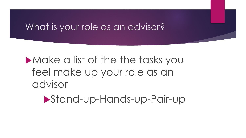## What is your role as an advisor?

## **Make a list of the the tasks you** feel make up your role as an advisor

Stand-up-Hands-up-Pair-up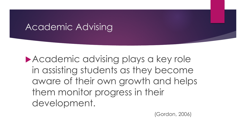## Academic Advising

Academic advising plays a key role in assisting students as they become aware of their own growth and helps them monitor progress in their development.

(Gordon, 2006)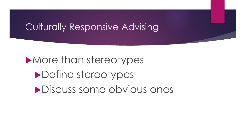## Culturally Responsive Advising

**More than stereotypes Define stereotypes** Discuss some obvious ones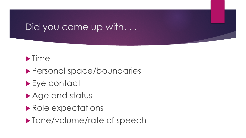## Did you come up with...



- Personal space/boundaries
- ▶ Eye contact
- ▶ Age and status
- Role expectations
- **Tone/volume/rate of speech**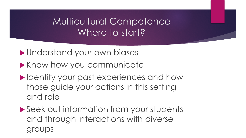## Multicultural Competence Where to start?

Understand your own biases

**Know how you communicate** 

- **Indentify your past experiences and how** those guide your actions in this setting and role
- ▶ Seek out information from your students and through interactions with diverse groups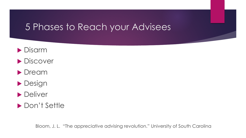## 5 Phases to Reach your Advisees

- **Disarm**
- **Discover**
- **Dream**
- **Design**
- **Deliver**
- ▶ Don't Settle

Bloom, J. L. "The appreciative advising revolution." University of South Carolina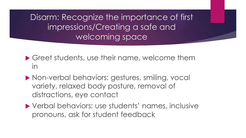Disarm: Recognize the importance of first impressions/Creating a safe and welcoming space

- Greet students, use their name, welcome them in
- Non-verbal behaviors: gestures, smiling, vocal variety, relaxed body posture, removal of distractions, eye contact
- ▶ Verbal behaviors: use students' names, inclusive pronouns, ask for student feedback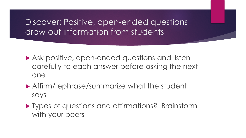#### Discover: Positive, open-ended questions draw out information from students

- ▶ Ask positive, open-ended questions and listen carefully to each answer before asking the next one
- Affirm/rephrase/summarize what the student says
- **Types of questions and affirmations? Brainstorm** with your peers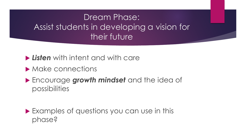## Dream Phase: Assist students in developing a vision for their future

*Listen* with intent and with care

- **Make connections**
- Encourage *growth mindset* and the idea of possibilities

**Examples of questions you can use in this** phase?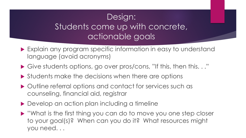## Design: Students come up with concrete, actionable goals

- ▶ Explain any program specific information in easy to understand language (avoid acronyms)
- Give students options, go over pros/cons, "If this, then this. . ."
- ▶ Students make the decisions when there are options
- Outline referral options and contact for services such as counseling, financial aid, registrar
- ▶ Develop an action plan including a timeline
- ▶ "What is the first thing you can do to move you one step closer to your goal(s)? When can you do it? What resources might you need. . .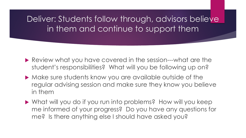Deliver: Students follow through, advisors believe in them and continue to support them

- Review what you have covered in the session---what are the student's responsibilities? What will you be following up on?
- Make sure students know you are available outside of the regular advising session and make sure they know you believe in them
- What will you do if you run into problems? How will you keep me informed of your progress? Do you have any questions for me? Is there anything else I should have asked you?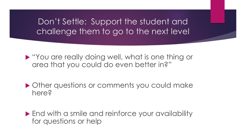#### Don't Settle: Support the student and challenge them to go to the next level

 "You are really doing well, what is one thing or area that you could do even better in?"

▶ Other questions or comments you could make here?

▶ End with a smile and reinforce your availability for questions or help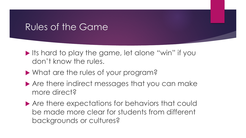## Rules of the Game

- Its hard to play the game, let alone "win" if you don't know the rules.
- What are the rules of your program?
- ▶ Are there indirect messages that you can make more direct?
- ▶ Are there expectations for behaviors that could be made more clear for students from different backgrounds or cultures?